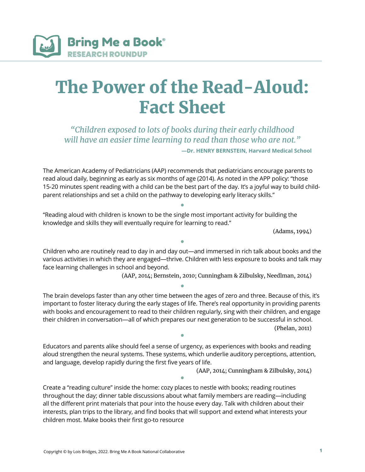

## The Power of the Read-Aloud: Fact Sheet

*"Children exposed to lots of books during their early childhood will have an easier time learning to read than those who are not."*

**—Dr. HENRY BERNSTEIN, Harvard Medical School**

The American Academy of Pediatricians (AAP) recommends that pediatricians encourage parents to read aloud daily, beginning as early as six months of age (2014). As noted in the APP policy: "those 15-20 minutes spent reading with a child can be the best part of the day. It's a joyful way to build childparent relationships and set a child on the pathway to developing early literacy skills."

• "Reading aloud with children is known to be the single most important activity for building the knowledge and skills they will eventually require for learning to read."

(Adams, 1994)

• Children who are routinely read to day in and day out—and immersed in rich talk about books and the various activities in which they are engaged—thrive. Children with less exposure to books and talk may face learning challenges in school and beyond.

(AAP, 2014; Bernstein, 2010; Cunningham & Zilbulsky, Needlman, 2014)

• The brain develops faster than any other time between the ages of zero and three. Because of this, it's important to foster literacy during the early stages of life. There's real opportunity in providing parents with books and encouragement to read to their children regularly, sing with their children, and engage their children in conversation—all of which prepares our next generation to be successful in school. (Phelan, 2011) •

Educators and parents alike should feel a sense of urgency, as experiences with books and reading aloud strengthen the neural systems. These systems, which underlie auditory perceptions, attention, and language, develop rapidly during the first five years of life.

(AAP, 2014; Cunningham & Zilbulsky, 2014)

• Create a "reading culture" inside the home: cozy places to nestle with books; reading routines throughout the day; dinner table discussions about what family members are reading—including all the different print materials that pour into the house every day. Talk with children about their interests, plan trips to the library, and find books that will support and extend what interests your children most. Make books their first go-to resource